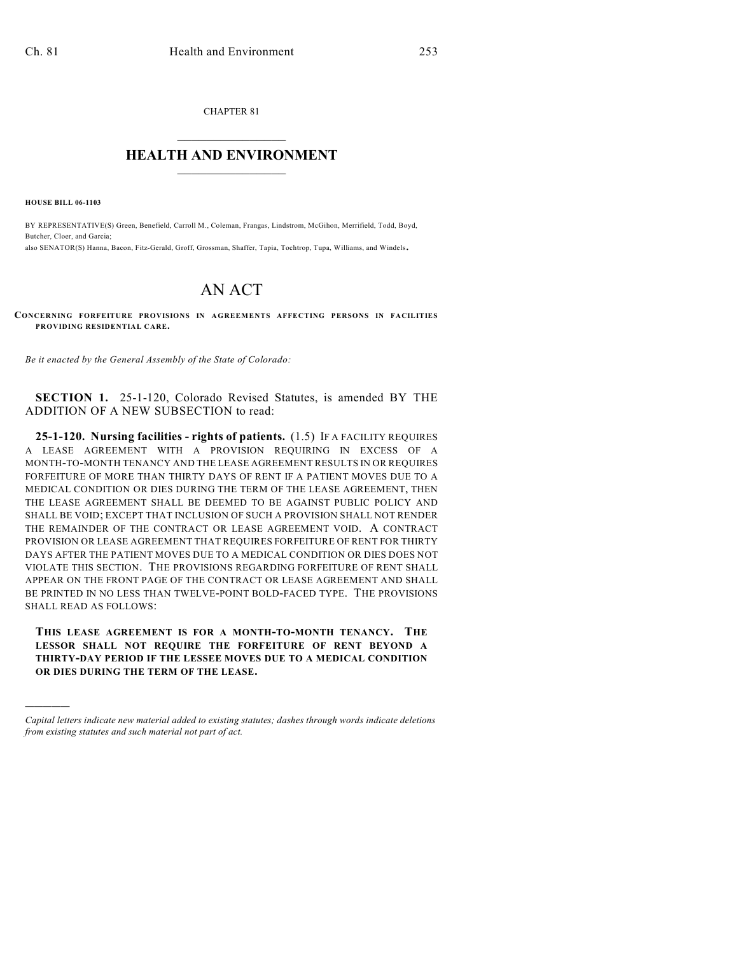CHAPTER 81  $\mathcal{L}_\text{max}$  . The set of the set of the set of the set of the set of the set of the set of the set of the set of the set of the set of the set of the set of the set of the set of the set of the set of the set of the set

## **HEALTH AND ENVIRONMENT**  $\_$

**HOUSE BILL 06-1103**

)))))

BY REPRESENTATIVE(S) Green, Benefield, Carroll M., Coleman, Frangas, Lindstrom, McGihon, Merrifield, Todd, Boyd, Butcher, Cloer, and Garcia; also SENATOR(S) Hanna, Bacon, Fitz-Gerald, Groff, Grossman, Shaffer, Tapia, Tochtrop, Tupa, Williams, and Windels.

## AN ACT

**CONCERNING FORFEITURE PROVISIONS IN AGREEMENTS AFFECTING PERSONS IN FACILITIES PROVIDING RESIDENTIAL CARE.**

*Be it enacted by the General Assembly of the State of Colorado:*

**SECTION 1.** 25-1-120, Colorado Revised Statutes, is amended BY THE ADDITION OF A NEW SUBSECTION to read:

**25-1-120. Nursing facilities - rights of patients.** (1.5) IF A FACILITY REQUIRES A LEASE AGREEMENT WITH A PROVISION REQUIRING IN EXCESS OF A MONTH-TO-MONTH TENANCY AND THE LEASE AGREEMENT RESULTS IN OR REQUIRES FORFEITURE OF MORE THAN THIRTY DAYS OF RENT IF A PATIENT MOVES DUE TO A MEDICAL CONDITION OR DIES DURING THE TERM OF THE LEASE AGREEMENT, THEN THE LEASE AGREEMENT SHALL BE DEEMED TO BE AGAINST PUBLIC POLICY AND SHALL BE VOID; EXCEPT THAT INCLUSION OF SUCH A PROVISION SHALL NOT RENDER THE REMAINDER OF THE CONTRACT OR LEASE AGREEMENT VOID. A CONTRACT PROVISION OR LEASE AGREEMENT THAT REQUIRES FORFEITURE OF RENT FOR THIRTY DAYS AFTER THE PATIENT MOVES DUE TO A MEDICAL CONDITION OR DIES DOES NOT VIOLATE THIS SECTION. THE PROVISIONS REGARDING FORFEITURE OF RENT SHALL APPEAR ON THE FRONT PAGE OF THE CONTRACT OR LEASE AGREEMENT AND SHALL BE PRINTED IN NO LESS THAN TWELVE-POINT BOLD-FACED TYPE. THE PROVISIONS SHALL READ AS FOLLOWS:

**THIS LEASE AGREEMENT IS FOR A MONTH-TO-MONTH TENANCY. THE LESSOR SHALL NOT REQUIRE THE FORFEITURE OF RENT BEYOND A THIRTY-DAY PERIOD IF THE LESSEE MOVES DUE TO A MEDICAL CONDITION OR DIES DURING THE TERM OF THE LEASE.**

*Capital letters indicate new material added to existing statutes; dashes through words indicate deletions from existing statutes and such material not part of act.*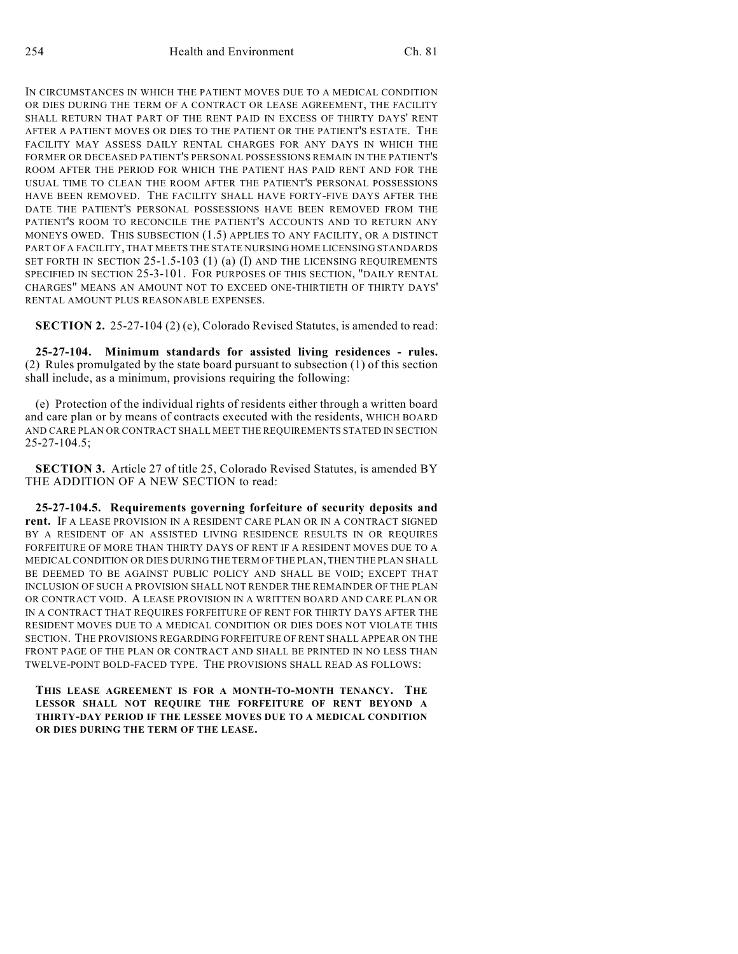IN CIRCUMSTANCES IN WHICH THE PATIENT MOVES DUE TO A MEDICAL CONDITION OR DIES DURING THE TERM OF A CONTRACT OR LEASE AGREEMENT, THE FACILITY SHALL RETURN THAT PART OF THE RENT PAID IN EXCESS OF THIRTY DAYS' RENT AFTER A PATIENT MOVES OR DIES TO THE PATIENT OR THE PATIENT'S ESTATE. THE FACILITY MAY ASSESS DAILY RENTAL CHARGES FOR ANY DAYS IN WHICH THE FORMER OR DECEASED PATIENT'S PERSONAL POSSESSIONS REMAIN IN THE PATIENT'S ROOM AFTER THE PERIOD FOR WHICH THE PATIENT HAS PAID RENT AND FOR THE USUAL TIME TO CLEAN THE ROOM AFTER THE PATIENT'S PERSONAL POSSESSIONS HAVE BEEN REMOVED. THE FACILITY SHALL HAVE FORTY-FIVE DAYS AFTER THE DATE THE PATIENT'S PERSONAL POSSESSIONS HAVE BEEN REMOVED FROM THE PATIENT'S ROOM TO RECONCILE THE PATIENT'S ACCOUNTS AND TO RETURN ANY MONEYS OWED. THIS SUBSECTION (1.5) APPLIES TO ANY FACILITY, OR A DISTINCT PART OF A FACILITY, THAT MEETS THE STATE NURSING HOME LICENSING STANDARDS SET FORTH IN SECTION 25-1.5-103 (1) (a) (I) AND THE LICENSING REQUIREMENTS SPECIFIED IN SECTION 25-3-101. FOR PURPOSES OF THIS SECTION, "DAILY RENTAL CHARGES" MEANS AN AMOUNT NOT TO EXCEED ONE-THIRTIETH OF THIRTY DAYS' RENTAL AMOUNT PLUS REASONABLE EXPENSES.

**SECTION 2.** 25-27-104 (2) (e), Colorado Revised Statutes, is amended to read:

**25-27-104. Minimum standards for assisted living residences - rules.** (2) Rules promulgated by the state board pursuant to subsection (1) of this section shall include, as a minimum, provisions requiring the following:

(e) Protection of the individual rights of residents either through a written board and care plan or by means of contracts executed with the residents, WHICH BOARD AND CARE PLAN OR CONTRACT SHALL MEET THE REQUIREMENTS STATED IN SECTION 25-27-104.5;

**SECTION 3.** Article 27 of title 25, Colorado Revised Statutes, is amended BY THE ADDITION OF A NEW SECTION to read:

**25-27-104.5. Requirements governing forfeiture of security deposits and rent.** IF A LEASE PROVISION IN A RESIDENT CARE PLAN OR IN A CONTRACT SIGNED BY A RESIDENT OF AN ASSISTED LIVING RESIDENCE RESULTS IN OR REQUIRES FORFEITURE OF MORE THAN THIRTY DAYS OF RENT IF A RESIDENT MOVES DUE TO A MEDICAL CONDITION OR DIES DURING THE TERM OF THE PLAN, THEN THE PLAN SHALL BE DEEMED TO BE AGAINST PUBLIC POLICY AND SHALL BE VOID; EXCEPT THAT INCLUSION OF SUCH A PROVISION SHALL NOT RENDER THE REMAINDER OF THE PLAN OR CONTRACT VOID. A LEASE PROVISION IN A WRITTEN BOARD AND CARE PLAN OR IN A CONTRACT THAT REQUIRES FORFEITURE OF RENT FOR THIRTY DAYS AFTER THE RESIDENT MOVES DUE TO A MEDICAL CONDITION OR DIES DOES NOT VIOLATE THIS SECTION. THE PROVISIONS REGARDING FORFEITURE OF RENT SHALL APPEAR ON THE FRONT PAGE OF THE PLAN OR CONTRACT AND SHALL BE PRINTED IN NO LESS THAN TWELVE-POINT BOLD-FACED TYPE. THE PROVISIONS SHALL READ AS FOLLOWS:

**THIS LEASE AGREEMENT IS FOR A MONTH-TO-MONTH TENANCY. THE LESSOR SHALL NOT REQUIRE THE FORFEITURE OF RENT BEYOND A THIRTY-DAY PERIOD IF THE LESSEE MOVES DUE TO A MEDICAL CONDITION OR DIES DURING THE TERM OF THE LEASE.**